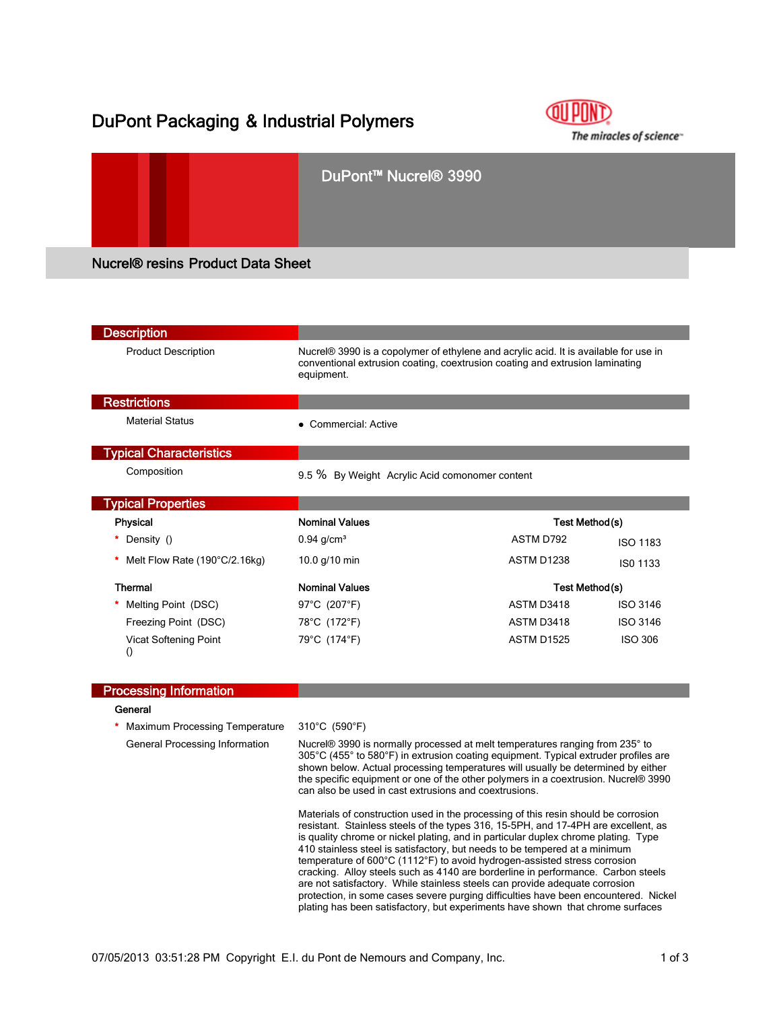# DuPont Packaging & Industrial Polymers

Vicat Softening Point

()





| <b>Description</b>             |                                                                                                                                                                                    |            |                 |  |
|--------------------------------|------------------------------------------------------------------------------------------------------------------------------------------------------------------------------------|------------|-----------------|--|
| <b>Product Description</b>     | Nucrel® 3990 is a copolymer of ethylene and acrylic acid. It is available for use in<br>conventional extrusion coating, coextrusion coating and extrusion laminating<br>equipment. |            |                 |  |
| <b>Restrictions</b>            |                                                                                                                                                                                    |            |                 |  |
| <b>Material Status</b>         | Commercial: Active                                                                                                                                                                 |            |                 |  |
| <b>Typical Characteristics</b> |                                                                                                                                                                                    |            |                 |  |
| Composition                    | 9.5 % By Weight Acrylic Acid comonomer content                                                                                                                                     |            |                 |  |
| <b>Typical Properties</b>      |                                                                                                                                                                                    |            |                 |  |
| <b>Physical</b>                | <b>Nominal Values</b>                                                                                                                                                              |            | Test Method(s)  |  |
| Density ()                     | $0.94$ g/cm <sup>3</sup>                                                                                                                                                           | ASTM D792  | <b>ISO 1183</b> |  |
| Melt Flow Rate (190°C/2.16kg)  | 10.0 $g/10$ min                                                                                                                                                                    | ASTM D1238 | ISO 1133        |  |
| Thermal                        | <b>Nominal Values</b>                                                                                                                                                              |            | Test Method(s)  |  |
| Melting Point (DSC)            | 97°C (207°F)                                                                                                                                                                       | ASTM D3418 | <b>ISO 3146</b> |  |
| Freezing Point (DSC)           | 78°C (172°F)                                                                                                                                                                       | ASTM D3418 | <b>ISO 3146</b> |  |

| <b>Processing Information</b>  |                                                                                                                                                                                                                                                                                                                                                                                                                                                                                                                                                                                                                                                                                                          |
|--------------------------------|----------------------------------------------------------------------------------------------------------------------------------------------------------------------------------------------------------------------------------------------------------------------------------------------------------------------------------------------------------------------------------------------------------------------------------------------------------------------------------------------------------------------------------------------------------------------------------------------------------------------------------------------------------------------------------------------------------|
| General                        |                                                                                                                                                                                                                                                                                                                                                                                                                                                                                                                                                                                                                                                                                                          |
| Maximum Processing Temperature | 310°C (590°F)                                                                                                                                                                                                                                                                                                                                                                                                                                                                                                                                                                                                                                                                                            |
| General Processing Information | Nucrel® 3990 is normally processed at melt temperatures ranging from 235° to<br>305°C (455° to 580°F) in extrusion coating equipment. Typical extruder profiles are<br>shown below. Actual processing temperatures will usually be determined by either<br>the specific equipment or one of the other polymers in a coextrusion. Nucrel® 3990<br>can also be used in cast extrusions and coextrusions.                                                                                                                                                                                                                                                                                                   |
|                                | Materials of construction used in the processing of this resin should be corrosion<br>resistant. Stainless steels of the types 316, 15-5PH, and 17-4PH are excellent, as<br>is quality chrome or nickel plating, and in particular duplex chrome plating. Type<br>410 stainless steel is satisfactory, but needs to be tempered at a minimum<br>temperature of $600^{\circ}$ C (1112 $^{\circ}$ F) to avoid hydrogen-assisted stress corrosion<br>cracking. Alloy steels such as 4140 are borderline in performance. Carbon steels<br>are not satisfactory. While stainless steels can provide adequate corrosion<br>protection, in some cases severe purging difficulties have been encountered. Nickel |

79°C (174°F) ASTM D1525 ISO 306

plating has been satisfactory, but experiments have shown that chrome surfaces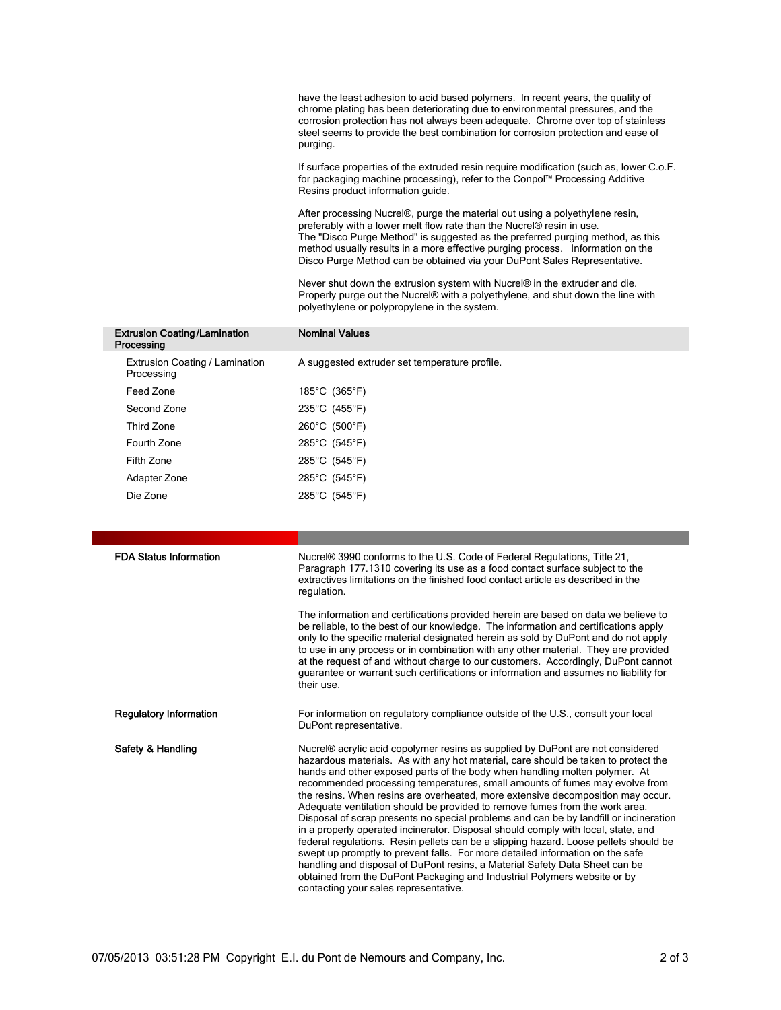have the least adhesion to acid based polymers. In recent years, the quality of chrome plating has been deteriorating due to environmental pressures, and the corrosion protection has not always been adequate. Chrome over top of stainless steel seems to provide the best combination for corrosion protection and ease of purging.

If surface properties of the extruded resin require modification (such as, lower C.o.F. for packaging machine processing), refer to the Conpol™ Processing Additive Resins product information guide.

After processing Nucrel®, purge the material out using a polyethylene resin, preferably with a lower melt flow rate than the Nucrel® resin in use. The "Disco Purge Method" is suggested as the preferred purging method, as this method usually results in a more effective purging process. Information on the Disco Purge Method can be obtained via your DuPont Sales Representative.

Never shut down the extrusion system with Nucrel® in the extruder and die. Properly purge out the Nucrel® with a polyethylene, and shut down the line with polyethylene or polypropylene in the system.

| <b>Extrusion Coating/Lamination</b><br>Processing | <b>Nominal Values</b>                         |
|---------------------------------------------------|-----------------------------------------------|
| Extrusion Coating / Lamination<br>Processing      | A suggested extruder set temperature profile. |
| Feed Zone                                         | 185°C (365°F)                                 |
| Second Zone                                       | 235°C (455°F)                                 |
| Third Zone                                        | 260°C (500°F)                                 |
| Fourth Zone                                       | 285°C (545°F)                                 |
| Fifth Zone                                        | 285°C (545°F)                                 |
| Adapter Zone                                      | 285°C (545°F)                                 |
| Die Zone                                          | 285°C (545°F)                                 |
|                                                   |                                               |

| <b>FDA Status Information</b> | Nucrel® 3990 conforms to the U.S. Code of Federal Regulations, Title 21,<br>Paragraph 177.1310 covering its use as a food contact surface subject to the<br>extractives limitations on the finished food contact article as described in the<br>regulation.                                                                                                                                                                                                                                                                                                                                                                                                                                                                                                                                                                                                                                                                                                                                                                                                    |
|-------------------------------|----------------------------------------------------------------------------------------------------------------------------------------------------------------------------------------------------------------------------------------------------------------------------------------------------------------------------------------------------------------------------------------------------------------------------------------------------------------------------------------------------------------------------------------------------------------------------------------------------------------------------------------------------------------------------------------------------------------------------------------------------------------------------------------------------------------------------------------------------------------------------------------------------------------------------------------------------------------------------------------------------------------------------------------------------------------|
|                               | The information and certifications provided herein are based on data we believe to<br>be reliable, to the best of our knowledge. The information and certifications apply<br>only to the specific material designated herein as sold by DuPont and do not apply<br>to use in any process or in combination with any other material. They are provided<br>at the request of and without charge to our customers. Accordingly, DuPont cannot<br>guarantee or warrant such certifications or information and assumes no liability for<br>their use.                                                                                                                                                                                                                                                                                                                                                                                                                                                                                                               |
| <b>Regulatory Information</b> | For information on regulatory compliance outside of the U.S., consult your local<br>DuPont representative.                                                                                                                                                                                                                                                                                                                                                                                                                                                                                                                                                                                                                                                                                                                                                                                                                                                                                                                                                     |
| Safety & Handling             | Nucrel® acrylic acid copolymer resins as supplied by DuPont are not considered<br>hazardous materials. As with any hot material, care should be taken to protect the<br>hands and other exposed parts of the body when handling molten polymer. At<br>recommended processing temperatures, small amounts of fumes may evolve from<br>the resins. When resins are overheated, more extensive decomposition may occur.<br>Adequate ventilation should be provided to remove fumes from the work area.<br>Disposal of scrap presents no special problems and can be by landfill or incineration<br>in a properly operated incinerator. Disposal should comply with local, state, and<br>federal regulations. Resin pellets can be a slipping hazard. Loose pellets should be<br>swept up promptly to prevent falls. For more detailed information on the safe<br>handling and disposal of DuPont resins, a Material Safety Data Sheet can be<br>obtained from the DuPont Packaging and Industrial Polymers website or by<br>contacting your sales representative. |